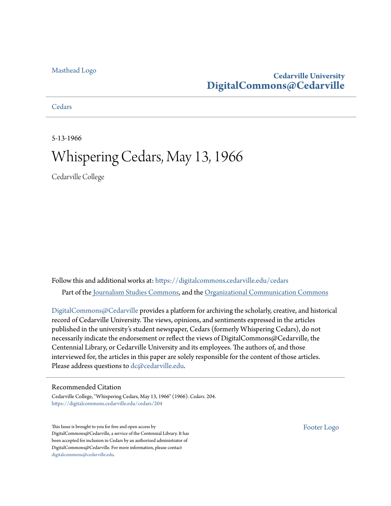### [Masthead Logo](http://www.cedarville.edu/?utm_source=digitalcommons.cedarville.edu%2Fcedars%2F204&utm_medium=PDF&utm_campaign=PDFCoverPages)

### **Cedarville University [DigitalCommons@Cedarville](https://digitalcommons.cedarville.edu?utm_source=digitalcommons.cedarville.edu%2Fcedars%2F204&utm_medium=PDF&utm_campaign=PDFCoverPages)**

**[Cedars](https://digitalcommons.cedarville.edu/cedars?utm_source=digitalcommons.cedarville.edu%2Fcedars%2F204&utm_medium=PDF&utm_campaign=PDFCoverPages)** 

5-13-1966

## Whispering Cedars, May 13, 1966

Cedarville College

Follow this and additional works at: [https://digitalcommons.cedarville.edu/cedars](https://digitalcommons.cedarville.edu/cedars?utm_source=digitalcommons.cedarville.edu%2Fcedars%2F204&utm_medium=PDF&utm_campaign=PDFCoverPages) Part of the [Journalism Studies Commons](http://network.bepress.com/hgg/discipline/333?utm_source=digitalcommons.cedarville.edu%2Fcedars%2F204&utm_medium=PDF&utm_campaign=PDFCoverPages), and the [Organizational Communication Commons](http://network.bepress.com/hgg/discipline/335?utm_source=digitalcommons.cedarville.edu%2Fcedars%2F204&utm_medium=PDF&utm_campaign=PDFCoverPages)

[DigitalCommons@Cedarville](http://digitalcommons.cedarville.edu/) provides a platform for archiving the scholarly, creative, and historical record of Cedarville University. The views, opinions, and sentiments expressed in the articles published in the university's student newspaper, Cedars (formerly Whispering Cedars), do not necessarily indicate the endorsement or reflect the views of DigitalCommons@Cedarville, the Centennial Library, or Cedarville University and its employees. The authors of, and those interviewed for, the articles in this paper are solely responsible for the content of those articles. Please address questions to [dc@cedarville.edu.](mailto:dc@cedarville.edu)

### Recommended Citation

Cedarville College, "Whispering Cedars, May 13, 1966" (1966). *Cedars*. 204. [https://digitalcommons.cedarville.edu/cedars/204](https://digitalcommons.cedarville.edu/cedars/204?utm_source=digitalcommons.cedarville.edu%2Fcedars%2F204&utm_medium=PDF&utm_campaign=PDFCoverPages)

This Issue is brought to you for free and open access by DigitalCommons@Cedarville, a service of the Centennial Library. It has been accepted for inclusion in Cedars by an authorized administrator of DigitalCommons@Cedarville. For more information, please contact [digitalcommons@cedarville.edu](mailto:digitalcommons@cedarville.edu).

[Footer Logo](http://www.cedarville.edu/Academics/Library.aspx?utm_source=digitalcommons.cedarville.edu%2Fcedars%2F204&utm_medium=PDF&utm_campaign=PDFCoverPages)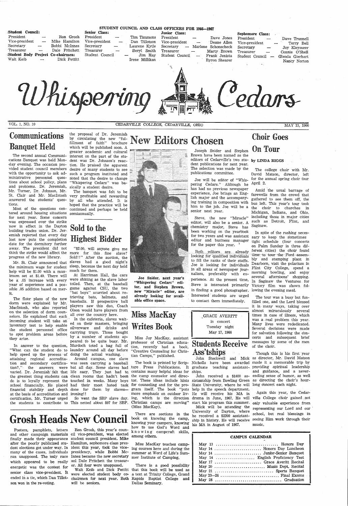| :Student Council:<br>President<br>Vice-president<br>Secretary<br>Treasurer<br>Student Body Project Co-chairmen:<br>Walt Keib | Ron Grosh<br>Mike Hamilton<br>Bobbi McInnes<br>Dale Pritchett<br>Dick Pettitt | STUDENT COUNCIL AND CLASS OFFICERS FOR 1966-1967<br>Senior Class:<br>President<br>Vice-president<br>Secretary<br>Laurene Kytle<br>Treasurer<br>Student Council<br>Irene Millikan | Junior Class:<br>Tim Timmons<br>President<br>Dan Tillotson<br>Vice-president<br>Secretary<br>Beryl Smith<br>Treasurer<br>Jim Hay<br>Student Council | Dave Jones<br>Deane Allen<br>Marlene Schonscheck<br>Marty Brown<br>Frank Jenista<br>$\overline{\phantom{m}}$<br>Byron Shearer | Sophomore Class:<br>President<br>Vice-president<br>Secretary<br>Treasurer<br>Student Council | Dave Trunnell<br>Terry Bell<br>Joy Kleymeer<br>Connie O'Shell<br>Glenda Gierhart<br>Nancy Norton |
|------------------------------------------------------------------------------------------------------------------------------|-------------------------------------------------------------------------------|----------------------------------------------------------------------------------------------------------------------------------------------------------------------------------|-----------------------------------------------------------------------------------------------------------------------------------------------------|-------------------------------------------------------------------------------------------------------------------------------|----------------------------------------------------------------------------------------------|--------------------------------------------------------------------------------------------------|
|                                                                                                                              |                                                                               | roerino                                                                                                                                                                          |                                                                                                                                                     |                                                                                                                               |                                                                                              | ms                                                                                               |

VOL. 1, NO. 10 CEDARVILLE COLLEGE, CEDARVILLE, OHIO MAY 13, 1966

### Communications Banquet Held

the proposal of Dr. Jeremiah which will be published soon. A greater academic and cultural  $\blacksquare$  and  $\blacksquare$   $\blacksquare$   $\blacksquare$   $\blacksquare$   $\blacksquare$   $\blacksquare$   $\blacksquare$   $\blacksquare$   $\blacksquare$   $\blacksquare$   $\blacksquare$   $\blacksquare$   $\blacksquare$   $\blacksquare$   $\blacksquare$   $\blacksquare$   $\blacksquare$   $\blacksquare$   $\blacksquare$   $\blacksquare$   $\blacksquare$  interest on the part of· the stu vided student council members desire of many students to see with the opportunity to ask ad-such a program instituted and "Whispering Cedars" was ba-

The banquet was felt to be by all who attended. It is tions. hoped that the practice will be<br>Most of the questions cen-continued and perhaps be held continued and perhaps be held

The second annual Communications Banquet was held Mon- dent was Dr. Johnson's reacday evening. The occasion pro- tion. He praised the apparent vided student council members desire of many students to see with the opportunity to ask ad- such a program instituted and ministrative personnel ques- noted that the desire to change ministrative personnel ques- noted that the desire to change<br>tions about school policy, plans "Whispering Cedars" was baand problems. Dr. Jeremiah, sically a student desire.<br>Mr. Turner, Dr. Johnson, Mr. The banquet was fel-St. Clair and Mr. MacIntosh very profitable and rewarding answered the students' ques- by all who attended. It is

# Sold to the **Highest Bidder**

tered around housing situations semiannually. for next year. Some concern was expressed over the strike now in effect in the Dayton building trades union. Dr. Jeremiah reported that every day lost now puts the completion ,date for the dormitory further away. The president did not ·progress of the new library.

 the minimum wage for student sleep, because the next day held help will be \$1.00 with a maximum set at \$1.40. There will be a: .05 increase with every year of experience and a possible .05 addition based on merit.

think the strike would affect the more for this fine slave? Mr. St. Clair announced that slaves had a g'ood night's "\$2.00, will anyone give me Sold!!" After the auction, the much for them.

> filled one, and the Lord blessed it in . many ways, taking over Colson would have players from **Miss MacKay**<br>
> In the cafeteria, slaves wait-<br>
> In the cafeteria, slaves wait-<br>
> In the cafeteria, slaves wait-<br>
> In the cafeteria, slaves wait-<br>
> and drinks and **Writes Book**<br>
> carrying trays. Th messages by some of the men of the choir.

The floor plans of the new dorm were explained by Mr. Macintosh, who also reported on the selection of dorm counselors. He explained that each incoming student will take an inventory test to help enable the student personnel office to spot problem areas before they arise.

.Joe Snider, next year's "Whispering Cedars" editor, and Stephen Brown, new "Miracle" editor, are already looking for available office space.

 certification. Mr. Turner urged the students to contribute to This netted ab'out \$97 for SBP. Christian camps are moving" So went the SBP slave day. ing, which is the direction drama in June, 1967. He will ville College choir gained not

Brown have been named as the editors of Cedarville's two stu- by LINDA RIGGS dent publications for next year. The selection 'was made by the publications committee.

Joe will be editor of "Whispering Cedars." Although he has had no previous newspaper experience, Joe brings an English major and the accompanying training in composition with him to the job. Joe will be <sup>a</sup> senior next year.

editor, will also be a senior. A such as equivalently major State as Saginaw. chemistry major, Steve has<br>been working on the yearbook been working on the yearbook In spite of the rushing necesfor two years and was assistant sary to keep the sometimes

looking for-qualified individuals time to tour the Ford assem-<br>to fill the ranks of their staffs bly and stamping plant in to fill the ranks of their staffs.  $\frac{Dxy}{T}$  and stamping plant in Joe is looking for individuals Dearborn, visit the polarium in Joe is looking for individuals Dearborn, visit the polarium in<br>in all areas of newspaper jour-<br>Flint City College, spend a in all areas of newspaper jour- Flint City College, spend a nalism, preferably with  $ex$ - morning bowling, and enjoy several afternoons' shopping.<br>perience. At the present time, In Saginaw the Ventures for Steve is interested primarily Victory film was shown folin finding a good photographer. lowing the evening meal. Interested students are urged The tour was a busy but fun-<br>to contact them immediately, filled one and the Lord blessed

The college choir with Mr. David Matson, director, left for the annual spring choir tour April 2.

Amid the usual barrage of farewells from the crowd that gathered to see them off, the bus left. This year's tour took the choir to churches in Michigan, Indiana, and Ohio, Steve, the new "Miracle" including those in major cities ditor will also be a sonier  $\Lambda$  such as Detroit. Flint, and

editor and business manager tight schedule (four concerts<br>for the paper this year.  $\frac{3}{100}$  on Palm Sunday in three difon Palm Sunday in three dif-Both editors are already ferent cities) the choir found<br>oking for qualified individuals time to tour the Ford assem-

At Harriman Hall, the cars were shining as the slave labor toiled. Then, at the baseball game against CSU, the two "bat boys" scurried about retrieving bats, helmets, and baseballs. If prospective ball players saw this duo, Coach Olson wou1d have players from

### Students Receive Ass'tships

tion?," the answers were bat all day. Some slaves had ture Press Publications. It graduate teaching assistant- providing spiritual leadership John Stockwell and Mick as director, Mr. David Matson Nicholls have been awarded made it a memorable trip by John received a \$1400 as-ending sense of humor, as well Though this is his first year and guidance, and a never-

"What can the student do to laundry around all day before help speed up the process of doing the actual washing. attaining regional accredita-Around campus, one slave tion and secondary certifica-was · seen carrying a baseball The book is printed by Scripvaried. Dr. Jeremiah felt that life easy. They just had to contains many helpful ideas for ships. the greatest thing students can clean rooms that hadn't been the camp counselor and direcdo is to loyally represent the touched in weeks. Many boys tor. These ideas include hints sistantship from Bowling Green as directing the choir's hourschool financially. He placed had their most hated task for counseling and for the pro-State University, where he will long concert each night. financial stability and depth done for them by slaves— gram itself. The book "puts help in the speech department. at the basis of accreditation and

In answer to the question, Murdoch toted a bag full of In the cafeteria, slaves wait-<br>ed on their masters, bringing Writes Book<br>silverware and drinks and Writes Book silverware and drinks and carrying trays. Those bought by a number of students appeared to be quite busy. Mr.

# the proposal of Dr. Jeremiah<br>by circulating the new "ful- New Editors Chosen Choir Goes



Miss Joy MacKay, assistant professor of Christian education, recently had a book, "Creative Counseling for Christian Camps," published.

# Grosh Heads New Council

There are sections in the book on knowing the camp, knowing your campers, knowing how to use God's Word and k n o w i n g campcraft skills, among others. Ron Grosh, this year's coun-

(Miss MacKay).

Posters, pamphlets, letters and other campaign materials cil vice-president, was elected finally made their appearance student council president. Mike after the poorly publicized stu-Hamilton, sophomore class presdent elections got under way. In ident this year, took the vicemany of the cases, individuals presidency, while Bobbi Mcran unopposed. The 'only race Innes became the new secretary which appeared to be really anl Dale Pritchett the treasurenergetic was the contest for er. All four were unopposed. senior class vice-president. It were elected student body coson won in the re-voting.

ironing!! more emphasis on outdoor liv-He will receive his MA in

ended in a tie, which Dan Tillot-chairmen for next year. Both Rapids Baptist College and Walt Keib and Dick Pettitt that this book will be used as will be seniors. There is a good possibility <sup>a</sup>text at Trinity College, Grand Dallas Seminary.

Miss MacKay teaches camping courses here and during the summer at Word of Life's Summer Institute of Camping.

start his program this summer. only valuable experience from Mick will be attending the representing our Lord and our ' University of Dayton, where he received a \$2200 assistant-school, but real blessings in ship in history. He will receive seeing Him work through their his MA in August of 1967.

Again this year, the Cedar-

music.

| <b>CAMPUS CALENDAR</b>           |  |  |  |  |
|----------------------------------|--|--|--|--|
| May 13  Honors Day               |  |  |  |  |
| May 14  Honors Day Luncheon      |  |  |  |  |
| May 14  Junior-Senior Banquet    |  |  |  |  |
| May 14  English Proficiency Test |  |  |  |  |
| May 17  Grace Averitt Recital    |  |  |  |  |
| May 20  Music Dept. Recital      |  |  |  |  |
|                                  |  |  |  |  |
|                                  |  |  |  |  |
|                                  |  |  |  |  |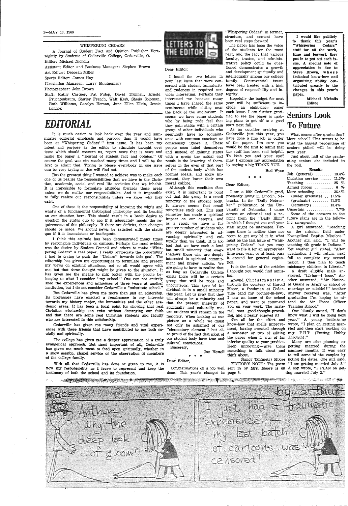#### 2-MAY 13, 1966

#### WHISPERING CEDARS

A Journal of Student Fact and Opinion Publisher Fortnightly by Students of Cedarville College, Cedarville, 0. Editor: Michael Nicholls

Assistant Editor and Business Manager: Stephen Brown Art Editor: Deborah Miller

Sports Editor: James Hay

Circulation Manager: Larry Montgomery

Photographer: John Brown

Staff: Kathy Cartner, Pat Fulbp, David Trunnell, Arnold Fruchtenbaum, Shirley French, Walt Keib, Sheila Soloman, Ruth Williams, Carolyn Homan, June Ellen Elkin, Jessie Lennox

### *EDITORIAL*

It is much easier to look back over the year and summarize editorial emphasis and purpose than it would have ance with common courtesy or been at "Whispering Cedars'" first issue. It has been my consciously ignore it. These of the paper. I'm sure you what the biggest percentage of intent and purpose as the editor to stimulate thought over issue which should concern us, report news that is news and and instead of gaining status the staff has been real helpful. next year. make the paper a "journal of student fact and opinion." Of with a group the actual end To bbth you and your staff course the goal was nbt reached many times and I will be the result is the lowering of them-may I express my appreciation first to admit that. Trying to please everybody in one issue can be very trying as Joe will find out.

I think this attitude has been demonstrated many times by responsible individuals on campus. Perhaps the most evident was the desire by Student Council and others to make "Whispering Cedars'' a real paper. I really appreciate the opportunity I had in trying to push the "Cedars" towards this goal. The editorship has given me opportunities to formulate and present my views on existing situations, not so all would agree with me, but that sbme thought might be given to the situation. It has given me the means to mix better with the people belonging to what I consider "my school." One can not entirely shed the experiences and influences of three years at another institution, but I do not consider Cedarville a "substitute school."

But the greatest thing I wanted to achieve was to make each normal ideals, and more im-.one of us realize the responsibilities that we have in the Christian, academic, social and real life societies that we inhabit. moral calibre. It is impossible to formulate attitudes towards these areas unless we do realize our responsibilities. And it is impossible to fully realize our responsibilities unless we know why they exist.

But Cedarville has given me more than just an editorship. Its professors have enacted a renaissance in my interests towards my history major. the humanities and the other academic areas. It has been a focal point for showing that real Christian scholarship can exist without destroying our faith and that there are some real Christian students and faculty who are interested in this scholarship.

Cedarville has given me many friends and vital experiences with these friends that have contributed to me both socially and spiritually.

The college has given me a deeper appreciation of a truly evangelical approach. But most important of al]. Cedarville has given me much meat to feed upcn spiritually, whether in a snow session, chapel service or the observation of members of the college family.

With all that Cedarville has done or given to me, it is now my responsibility as I leave to represent and keep the testimony of both the school and its foundation.

<u> 1999 - Andrej Andrewski, matematik a stranovnik postavani i obrazili i obrazili i obrazili i obrazili i obrazi</u>



One of these is the responsibility of knowing the why's and what's of a fundamental theological philosophy and its bearing on our situation here. This should result in a basic desire to question the status quo to see if it adequately meets the requirements of this philosophy. If there are deficits, then changes should be made. We should never be satisfied with the status quo if it is inconsistent or inadequate.

"Whispering Cedars"<br>staff for all the work,<br>time and legwork they<br>put in to put out each issue. A special note of appreciation is due to Steve Brown, whose technical know-how and organizing ability contributed greatly to the changes in this year's paper.

I am a 1964 Cedarville grad, presently living in Lincoln, Nebraska. In the "Daily Nebraskan" publication of the Uni- (seminary) ........ 13.4% versity of Nebraska, I came Uncertain .............. 7.7%, across an editorial and a re- Some of the answers to the print from the "Daily Illini" future plans are in the followin which I thought you and your ing paragraphs. staff might be interested. Per- A girl answered, "Teaching haps there 1s neither time nor on the mission field under room to get any bf it in what Evangelical Baptist Missions." must be the last issue of "Whis- Another girl said, "I will be pering Cedars" but you may teaching 4th grade in Indiana." want to file it for an appropriate Yet another girl stated, "After time next year, or at least, pass graduation I will return next it around for general cogita- fall to complete my second

Dear Editor:

through the courtesy of Harold al Guard or Army or school or Moore, a freshman at Cedar· marriage or suicide!!" Another ville (and my brother-in-law), answer received was, "After I saw an issue of the school graduation I'm hoping to atpaper, and want to commend tend the Air Force Officer you on your work. The mate- Training School." rial was good-thought-provok- One bluntly stated, "I don't

our student body have true and the paper when it was of far Through)."

I found the two letters in your last issue that were concerned with student immaturity and rudeness in required services interesting. Perhaps they interested me because many times I have shared the same sentiments while sitting near the back of the auditorium. It who by being rude feel that they gain status with a certain start next fall. group of other individuals who seemingly have no acquaintpeople so'on label themselves selves in the eyes of that part by saying a big THANK YOU. of the student body which has portant, they lower their own

so proud of the fact that most of a semester or two of editing my PHT (Putting Hubby Ing, and I really enjoyed it! know what I will be doing next I'm all for the effort and year." A young bride-to-be know-how that spells improve- wrote, "I plan on getting marment, having sweated through ried and then start working on

> $_{\rm Joe~Howell}$  something to talk about and summer months. It was easy inferior quality to your product. Many are also planning on Keep improving  $-$  give them getting married during the think about. to tell some bf the couples by Nancy '(Shimets) Moore noting the dates. One girl said, EDITOR'S NOTE: The poem "I am getting married July 2." ting married July 2."

> > 中心的 化硫酸

1000000



The paper has been the voice of the students for the most part, and the fact that various faculty, trustee, and adminis- . trative policy could be questioned demonstrates a growth and development spiritually and intellectually among our college family. Controversial issues have been treated with a high degree of responsibility and integrity.

Although this condition dbes exist, it is impartant to point out that this group is a small minority of the student body. It always seems that small minorities stick out. This past semester has made a spiritual impact on our campus, and as a result we have a far greater number of students who are deeply interested in advancing spiritually and culturally than we think. It is to'o bad that we have such a loud but small minority that overshadows those who are deeply interested in spiritual commitment and proper actions. We are going to have to realize that as long as Cedarville College exists there will be a certain group that will be rude and uncourteous. This tpye bf individual is in a small minority this year. Let *UB* pray that they will always be a minority and that the present majority of spiritually and culturally maure students will remain in the majority. When looking at our picture as a whole we must not only be ashamed of our "elementary element,'' but alcultural convictions..

seems we have some students fied to see the paper is mak-Hopefully the budget for next year will be sufficient to include an eight-page paper each issue. I am further gratiing plans to get off to a good

Sincerely.

#### Dear Editor,

Congratulations on a job well sent in by Mrs. Moore is on A boy wrote, "I PLAN on getdone! This year's changes in page 3.

**ACCORDINATION CONTROLL** 

"Whispering Cedars" in format,<br>structure, and content have **I would like publicly** structure, and content have been real steps forward.  $\parallel$  to thank this year's

As an outsider arriving at Cedarville just this year, you have done a fine job as editor More school? This seems to be would be the first to admit that

Rod Wyse

#### Dear Editor,

Michael Nicholls Editor

### Seniors Look To Future

What comes after graduation? seniors pblled will be doing

Just about half of the graduating seniors are included in the pall.

| Results                                    |  |  |  |  |
|--------------------------------------------|--|--|--|--|
| Job (general) $13.4\%$                     |  |  |  |  |
| Christian service $\ldots$ 11.5%           |  |  |  |  |
| Teaching  25 $\%$                          |  |  |  |  |
| Armed forces $\ldots \ldots \ldots$ 6 $\%$ |  |  |  |  |
| More schooling $\ldots \ldots 36.4\%$      |  |  |  |  |
| $\frac{1}{2}$ (under graduate)  11.5%      |  |  |  |  |
| $\left( \text{graduate} \right)$ 11.5%     |  |  |  |  |

tion. major. I then plan to teach It is the latter of the articles misionary children in Liberia." ing. swered, "Living-I hope." An-Around Christmastime, other answered, "Air Nation-

I thought you would find amus- A draft eligible male an-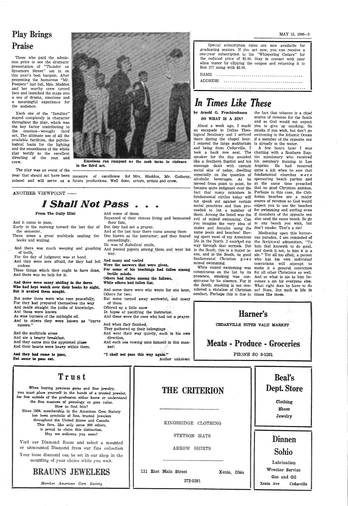# Play Brings Praise

Those who paid the admission price to see the dramatic presentation of "Thunder on Sycamore Street" sat in on this year's best bargain. After presenting the humorous "Mr. Peepers" last fall, Mrs. Maddox and her worthy crew turned face and launched the stage into <sup>a</sup>sea of drama, emotions and <sup>a</sup>meaningful experience for the audience.

year that should not have been measure of excellence for Mrs. Maddox, Mr. Gatheny, missed and will serve as a future productions. Well done, actors, artists and crew.

#### ANOTHER VIEWPOINT -

Each one of the "families" stayed completely in character throughout the play, which was the key factor contributing to the emotion - wrought third act. The ultimate use of all the available facilities, the psychological basis for the lighting and the smoothness of the whble play testify to the excellent directing of the cast and

And there was much weeping and gnashing And passed papers among them and went his · of teeth,

Those things which they ought to have done, For some of his teachings had fallen among .And there was no help for it.

crew. Emotions run rampant as the mob turns to violence in the third act.

The play was an event of the



And they had ceme te pass, But some te pass out.

## I Shall Not Pass •

#### From The Daily Illini

And it came to pass,

Early in the morning toward the last day of But they had not <sup>a</sup>prayer. the semester,

There arose a great multitude smiting the books and wailing.

> fertile minds. Others bad fallen among the fallows,

### While others had fallen flat.

And some there were who wrote for one hour, Others for two;

But some turned away sorrowful, and many of these

Offered up a little snow

For the day of judgment was at hand. And they were sore afraid, for they had left **And many and varied** undone

> And went their way quietly, each in his own direction,

> And each one vowing unto himself in this manner:

"I shall not pass this way again." Author unknown

#### And there were many abiding in the dorm Who had kept watch over their books by night. But it availed them naught.

But some there were who rose peacefully. For they had prepared themselves the way And made straight the paths of knowledge. And these were known

As wise burners of the midnight oil. And to others they were known as "curve raisers."

SO WHAT IS A SIN? Source of revenue for the South and so God would not expect About a week ago, I made you to give up smoking. So

A few hours later 1 was

Meditating upon this humormixed swimming. convictions will attempt to While mixed swimming was make it a general conviction

And the multitude arose And ate a hearty breakfast, And they came into the appbinted place And their hearts were heavy within them.

### Trust

And some of them

Repented of their riotous living and bemoaned their fate,

And at the last hour there came among them One known as the instructor; and they feared exceediingly.

He was bf diabolical smile,

way.

Were the answers that were given,

In hopes of pacifying the instructor. And these were the ones who had not a prayer.

conspicuous on the list by its for all other Christians as well. presence, smoking was con- And so what is sin to him bespicuous by its absence. For in comes a sin for everyone else. the South, smoking is not cbn- What right does he have to do sidered a violation of Christian. so? None. But such is life in conduct. Perhaps this is due to times like these.

And when they finished,

They gathered up their belongings .

MAY 13, 1966-3

Special subscription rates are now available for graduating seniors. If you act now, you can receive <sup>a</sup> one-year subscription to the "Whispering Cedars" for the reduced price of \$2.50. Stay in contact with your alma mater by clipping the coupon and returning it to Box 277 along with \$2.50.

Your loose diamond can be set in our shop in the mounting of your choice while you wait.

NAME ................................................ ADDRESS

### 

## *In Times Like These*

## by Arnold G. Fruchtenbaum the fact that tobacco is a chief

an escapade to Dallas Theo- smoke if you wish, but don't go logical Seminary and I arrived swimming in the Atlantic Ocean there during the chapel hour. if a member of the opposite sex I entered the large auditorium is already in the water.<br>and being from Cedarville, I A few hours later took a back row seat. The chatting with a Southern Bapspeaker for the day sounded tist missionary who received like a Southern Baptist and his his seminary training in Los message dealt with certain Angeles. He had received social sins of today, dwelling quite a jolt when he saw that especially on the question of fundamental churches w e r <sup>e</sup> alcoholic beverages. As he sponsoring beach parties and moved from point to point, be at the same time preached became quite indignant over the that no good Christian smokes. fact that many ministers in Perhaps in this case, the Califundamental circles today will fornia beaches are a major not speak out against certain source of revenue so God would social practices and then pro- expect you to use the beaches ceeded to list a number of for swimming and surfing even them. Among the listed was the if members of the opposite sex evil of mixed swimming. Can also used the same beach. So go you imagine the very idea of to any beach you wish, but males and females using the don't smoke. That's a sin!<br>same pools and beaches! Hav- Meditating upon this hu ing spent most of my American ous paradox, I am reminded of life in the North .I smir\ed my the Scriptural admonition, "To way through that sermon. But him that knoweth to do good, in the South, this is a major is- and doeth it not, to him it is a sue, and in the South, no good sin." Yet all too often, a person fundamental Christian g o e s who has his own individual



When buying precious gems and fine jewelry, you must place yourself in the hands of a trusted jeweler, THE CRITERION

Beal's Dept. Store

for few outside of the profession either know or understand the fine nuances of gemology or gem value. How to find him? Since 1934, membership in the American Gem Society has been symbolic of fine, trusted jewelers throughout the United States and Canada. This firm, like only some 900 others, is proud to claim this distinction. May we welcome you soon?

Visit our Diamond Room and select a mounted or unmounted Diamond from our fine collection

### BRAUN'S JEWELERS

*Member American Gem Society* 

KIKGSRIDGE CLOTHING STETSON HATS ARROW SHIRTS <sup>111</sup>East Main Street Xenia, Ohio 372-5381 Clothing Shoes Jewelry Dinnen Sohio Lubrication \Vrecker Service Gas and Oil Xenia Ave Cedarville